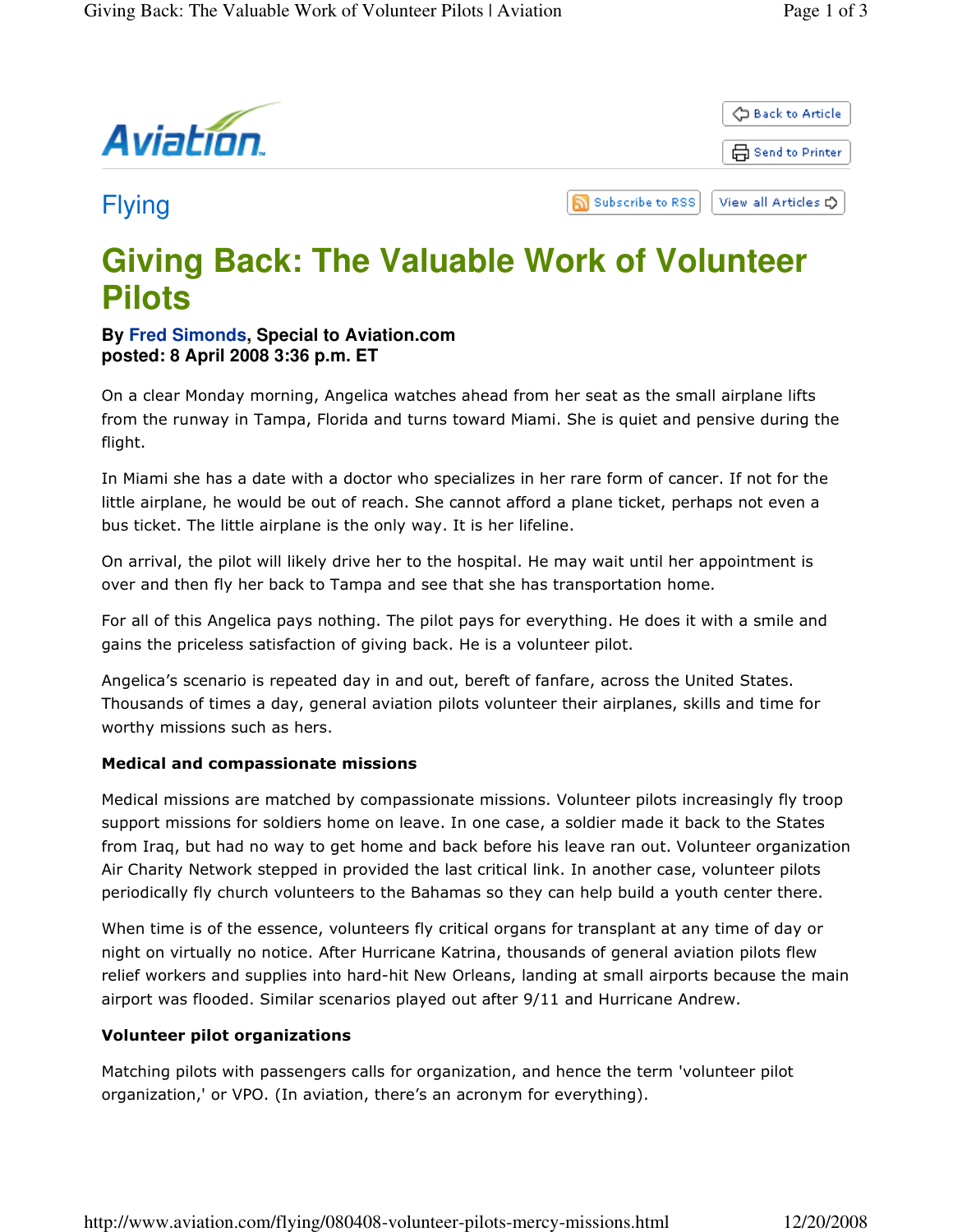

# **Giving Back: The Valuable Work of Volunteer Pilots**

### **By Fred Simonds, Special to Aviation.com posted: 8 April 2008 3:36 p.m. ET**

On a clear Monday morning, Angelica watches ahead from her seat as the small airplane lifts from the runway in Tampa, Florida and turns toward Miami. She is quiet and pensive during the flight.

In Miami she has a date with a doctor who specializes in her rare form of cancer. If not for the little airplane, he would be out of reach. She cannot afford a plane ticket, perhaps not even a bus ticket. The little airplane is the only way. It is her lifeline.

On arrival, the pilot will likely drive her to the hospital. He may wait until her appointment is over and then fly her back to Tampa and see that she has transportation home.

For all of this Angelica pays nothing. The pilot pays for everything. He does it with a smile and gains the priceless satisfaction of giving back. He is a volunteer pilot.

Angelica's scenario is repeated day in and out, bereft of fanfare, across the United States. Thousands of times a day, general aviation pilots volunteer their airplanes, skills and time for worthy missions such as hers.

## Medical and compassionate missions

Medical missions are matched by compassionate missions. Volunteer pilots increasingly fly troop support missions for soldiers home on leave. In one case, a soldier made it back to the States from Iraq, but had no way to get home and back before his leave ran out. Volunteer organization Air Charity Network stepped in provided the last critical link. In another case, volunteer pilots periodically fly church volunteers to the Bahamas so they can help build a youth center there.

When time is of the essence, volunteers fly critical organs for transplant at any time of day or night on virtually no notice. After Hurricane Katrina, thousands of general aviation pilots flew relief workers and supplies into hard-hit New Orleans, landing at small airports because the main airport was flooded. Similar scenarios played out after 9/11 and Hurricane Andrew.

#### Volunteer pilot organizations

Matching pilots with passengers calls for organization, and hence the term 'volunteer pilot organization,' or VPO. (In aviation, there's an acronym for everything).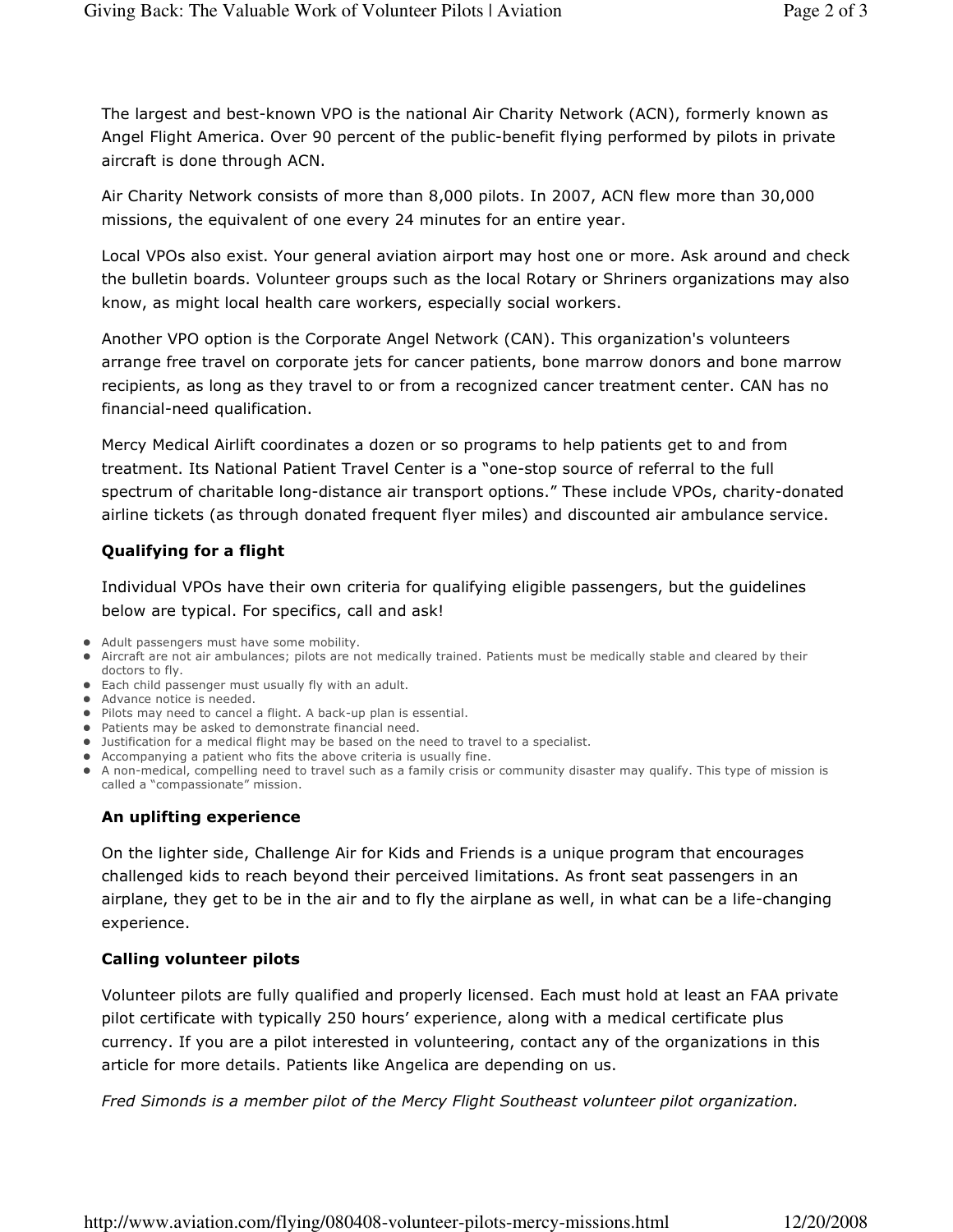The largest and best-known VPO is the national Air Charity Network (ACN), formerly known as Angel Flight America. Over 90 percent of the public-benefit flying performed by pilots in private aircraft is done through ACN.

Air Charity Network consists of more than 8,000 pilots. In 2007, ACN flew more than 30,000 missions, the equivalent of one every 24 minutes for an entire year.

Local VPOs also exist. Your general aviation airport may host one or more. Ask around and check the bulletin boards. Volunteer groups such as the local Rotary or Shriners organizations may also know, as might local health care workers, especially social workers.

Another VPO option is the Corporate Angel Network (CAN). This organization's volunteers arrange free travel on corporate jets for cancer patients, bone marrow donors and bone marrow recipients, as long as they travel to or from a recognized cancer treatment center. CAN has no financial-need qualification.

Mercy Medical Airlift coordinates a dozen or so programs to help patients get to and from treatment. Its National Patient Travel Center is a "one-stop source of referral to the full spectrum of charitable long-distance air transport options." These include VPOs, charity-donated airline tickets (as through donated frequent flyer miles) and discounted air ambulance service.

## Qualifying for a flight

Individual VPOs have their own criteria for qualifying eligible passengers, but the guidelines below are typical. For specifics, call and ask!

- Adult passengers must have some mobility.
- Aircraft are not air ambulances; pilots are not medically trained. Patients must be medically stable and cleared by their doctors to fly.
- Each child passenger must usually fly with an adult.
- Advance notice is needed.
- Pilots may need to cancel a flight. A back-up plan is essential.
- Patients may be asked to demonstrate financial need.
- Justification for a medical flight may be based on the need to travel to a specialist.
- Accompanying a patient who fits the above criteria is usually fine.
- A non-medical, compelling need to travel such as a family crisis or community disaster may qualify. This type of mission is called a "compassionate" mission.

## An uplifting experience

On the lighter side, Challenge Air for Kids and Friends is a unique program that encourages challenged kids to reach beyond their perceived limitations. As front seat passengers in an airplane, they get to be in the air and to fly the airplane as well, in what can be a life-changing experience.

#### Calling volunteer pilots

Volunteer pilots are fully qualified and properly licensed. Each must hold at least an FAA private pilot certificate with typically 250 hours' experience, along with a medical certificate plus currency. If you are a pilot interested in volunteering, contact any of the organizations in this article for more details. Patients like Angelica are depending on us.

Fred Simonds is a member pilot of the Mercy Flight Southeast volunteer pilot organization.

http://www.aviation.com/flying/080408-volunteer-pilots-mercy-missions.html 12/20/2008